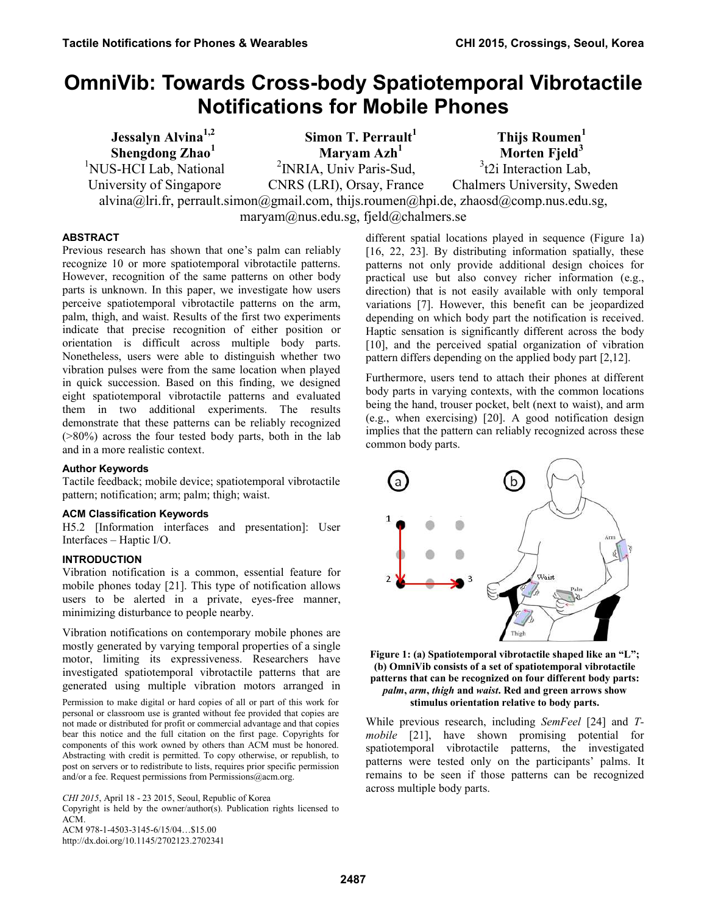# **OmniVib: Towards Cross-body Spatiotemporal Vibrotactile Notifications for Mobile Phones**

| <b>Jessalyn Alvina</b> <sup>1,2</sup>                                                 | Simon T. Perrault                   | Thijs Roumen <sup>1</sup>   |  |  |  |  |  |
|---------------------------------------------------------------------------------------|-------------------------------------|-----------------------------|--|--|--|--|--|
| Shengdong Zhao <sup>1</sup>                                                           | Maryam Azh <sup>1</sup>             | Morten Fjeld $3$            |  |  |  |  |  |
| <sup>1</sup> NUS-HCI Lab, National                                                    | <sup>2</sup> INRIA, Univ Paris-Sud, | $3$ t2i Interaction Lab,    |  |  |  |  |  |
| University of Singapore                                                               | CNRS (LRI), Orsay, France           | Chalmers University, Sweden |  |  |  |  |  |
| alvina@lri.fr, perrault.simon@gmail.com, thijs.roumen@hpi.de, zhaosd@comp.nus.edu.sg, |                                     |                             |  |  |  |  |  |
| maryam@nus.edu.sg, fjeld@chalmers.se                                                  |                                     |                             |  |  |  |  |  |

# **ABSTRACT**

Previous research has shown that one's palm can reliably recognize 10 or more spatiotemporal vibrotactile patterns. However, recognition of the same patterns on other body parts is unknown. In this paper, we investigate how users perceive spatiotemporal vibrotactile patterns on the arm, palm, thigh, and waist. Results of the first two experiments indicate that precise recognition of either position or orientation is difficult across multiple body parts. Nonetheless, users were able to distinguish whether two vibration pulses were from the same location when played in quick succession. Based on this finding, we designed eight spatiotemporal vibrotactile patterns and evaluated them in two additional experiments. The results demonstrate that these patterns can be reliably recognized (>80%) across the four tested body parts, both in the lab and in a more realistic context.

# **Author Keywords**

Tactile feedback; mobile device; spatiotemporal vibrotactile pattern; notification; arm; palm; thigh; waist.

# **ACM Classification Keywords**

H5.2 [Information interfaces and presentation]: User Interfaces – Haptic I/O.

# **INTRODUCTION**

Vibration notification is a common, essential feature for mobile phones today [21]. This type of notification allows users to be alerted in a private, eyes-free manner, minimizing disturbance to people nearby.

Vibration notifications on contemporary mobile phones are mostly generated by varying temporal properties of a single motor, limiting its expressiveness. Researchers have investigated spatiotemporal vibrotactile patterns that are generated using multiple vibration motors arranged in

Permission to make digital or hard copies of all or part of this work for personal or classroom use is granted without fee provided that copies are not made or distributed for profit or commercial advantage and that copies bear this notice and the full citation on the first page. Copyrights for components of this work owned by others than ACM must be honored. Abstracting with credit is permitted. To copy otherwise, or republish, to post on servers or to redistribute to lists, requires prior specific permission and/or a fee. Request permissions from Permissions@acm.org.

*CHI 2015*, April 18 - 23 2015, Seoul, Republic of Korea

Copyright is held by the owner/author(s). Publication rights licensed to ACM. ACM 978-1-4503-3145-6/15/04…\$15.00 http://dx.doi.org/10.1145/2702123.2702341

different spatial locations played in sequence [\(Figure 1a](#page-0-0)) [\[16,](#page-9-0) [22,](#page-9-1) [23\]](#page-9-2). By distributing information spatially, these patterns not only provide additional design choices for practical use but also convey richer information (e.g., direction) that is not easily available with only temporal variations [\[7\]](#page-9-3). However, this benefit can be jeopardized depending on which body part the notification is received. Haptic sensation is significantly different across the body [\[10\]](#page-9-4), and the perceived spatial organization of vibration pattern differs depending on the applied body part [\[2](#page-9-5)[,12\]](#page-9-6).

Furthermore, users tend to attach their phones at different body parts in varying contexts, with the common locations being the hand, trouser pocket, belt (next to waist), and arm (e.g., when exercising) [\[20\]](#page-9-7). A good notification design implies that the pattern can reliably recognized across these common body parts.



<span id="page-0-0"></span>**Figure 1: (a) Spatiotemporal vibrotactile shaped like an "L"; (b) OmniVib consists of a set of spatiotemporal vibrotactile patterns that can be recognized on four different body parts:**  *palm***,** *arm***,** *thigh* **and** *waist***. Red and green arrows show stimulus orientation relative to body parts.** 

While previous research, including *SemFeel* [\[24\]](#page-9-8) and *Tmobile* [\[21\]](#page-9-9), have shown promising potential for spatiotemporal vibrotactile patterns, the investigated patterns were tested only on the participants' palms. It remains to be seen if those patterns can be recognized across multiple body parts.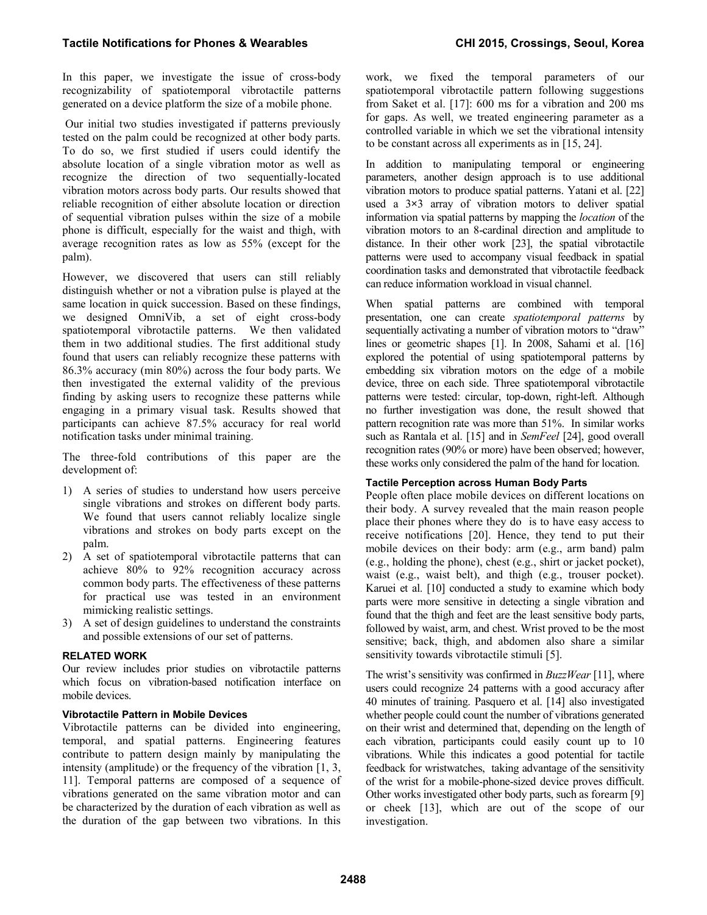In this paper, we investigate the issue of cross-body recognizability of spatiotemporal vibrotactile patterns generated on a device platform the size of a mobile phone.

 Our initial two studies investigated if patterns previously tested on the palm could be recognized at other body parts. To do so, we first studied if users could identify the absolute location of a single vibration motor as well as recognize the direction of two sequentially-located vibration motors across body parts. Our results showed that reliable recognition of either absolute location or direction of sequential vibration pulses within the size of a mobile phone is difficult, especially for the waist and thigh, with average recognition rates as low as 55% (except for the palm).

However, we discovered that users can still reliably distinguish whether or not a vibration pulse is played at the same location in quick succession. Based on these findings, we designed OmniVib, a set of eight cross-body spatiotemporal vibrotactile patterns. We then validated them in two additional studies. The first additional study found that users can reliably recognize these patterns with 86.3% accuracy (min 80%) across the four body parts. We then investigated the external validity of the previous finding by asking users to recognize these patterns while engaging in a primary visual task. Results showed that participants can achieve 87.5% accuracy for real world notification tasks under minimal training.

The three-fold contributions of this paper are the development of:

- 1) A series of studies to understand how users perceive single vibrations and strokes on different body parts. We found that users cannot reliably localize single vibrations and strokes on body parts except on the palm.
- 2) A set of spatiotemporal vibrotactile patterns that can achieve 80% to 92% recognition accuracy across common body parts. The effectiveness of these patterns for practical use was tested in an environment mimicking realistic settings.
- 3) A set of design guidelines to understand the constraints and possible extensions of our set of patterns.

# **RELATED WORK**

Our review includes prior studies on vibrotactile patterns which focus on vibration-based notification interface on mobile devices.

#### **Vibrotactile Pattern in Mobile Devices**

Vibrotactile patterns can be divided into engineering, temporal, and spatial patterns. Engineering features contribute to pattern design mainly by manipulating the intensity (amplitude) or the frequency of the vibration [\[1,](#page-9-10) [3,](#page-9-11) [11\]](#page-9-12). Temporal patterns are composed of a sequence of vibrations generated on the same vibration motor and can be characterized by the duration of each vibration as well as the duration of the gap between two vibrations. In this work, we fixed the temporal parameters of our spatiotemporal vibrotactile pattern following suggestions from Saket et al. [\[17\]](#page-9-13): 600 ms for a vibration and 200 ms for gaps. As well, we treated engineering parameter as a controlled variable in which we set the vibrational intensity to be constant across all experiments as in [\[15,](#page-9-14) [24\]](#page-9-8).

In addition to manipulating temporal or engineering parameters, another design approach is to use additional vibration motors to produce spatial patterns. Yatani et al. [\[22\]](#page-9-1) used a 3**×**3 array of vibration motors to deliver spatial information via spatial patterns by mapping the *location* of the vibration motors to an 8-cardinal direction and amplitude to distance. In their other work [\[23\]](#page-9-2), the spatial vibrotactile patterns were used to accompany visual feedback in spatial coordination tasks and demonstrated that vibrotactile feedback can reduce information workload in visual channel.

When spatial patterns are combined with temporal presentation, one can create *spatiotemporal patterns* by sequentially activating a number of vibration motors to "draw" lines or geometric shapes [\[1\]](#page-9-10). In 2008, Sahami et al. [\[16\]](#page-9-0) explored the potential of using spatiotemporal patterns by embedding six vibration motors on the edge of a mobile device, three on each side. Three spatiotemporal vibrotactile patterns were tested: circular, top-down, right-left. Although no further investigation was done, the result showed that pattern recognition rate was more than 51%. In similar works such as Rantala et al. [\[15\]](#page-9-14) and in *SemFeel* [\[24\]](#page-9-8), good overall recognition rates (90% or more) have been observed; however, these works only considered the palm of the hand for location.

#### **Tactile Perception across Human Body Parts**

People often place mobile devices on different locations on their body. A survey revealed that the main reason people place their phones where they do is to have easy access to receive notifications [\[20\]](#page-9-7). Hence, they tend to put their mobile devices on their body: arm (e.g., arm band) palm (e.g., holding the phone), chest (e.g., shirt or jacket pocket), waist (e.g., waist belt), and thigh (e.g., trouser pocket). Karuei et al. [\[10\]](#page-9-4) conducted a study to examine which body parts were more sensitive in detecting a single vibration and found that the thigh and feet are the least sensitive body parts, followed by waist, arm, and chest. Wrist proved to be the most sensitive; back, thigh, and abdomen also share a similar sensitivity towards vibrotactile stimuli [\[5\]](#page-9-15).

The wrist's sensitivity was confirmed in *BuzzWear* [\[11\]](#page-9-12), where users could recognize 24 patterns with a good accuracy after 40 minutes of training. Pasquero et al. [\[14\]](#page-9-16) also investigated whether people could count the number of vibrations generated on their wrist and determined that, depending on the length of each vibration, participants could easily count up to 10 vibrations. While this indicates a good potential for tactile feedback for wristwatches, taking advantage of the sensitivity of the wrist for a mobile-phone-sized device proves difficult. Other works investigated other body parts, such as forearm [\[9\]](#page-9-17) or cheek [\[13\]](#page-9-18), which are out of the scope of our investigation.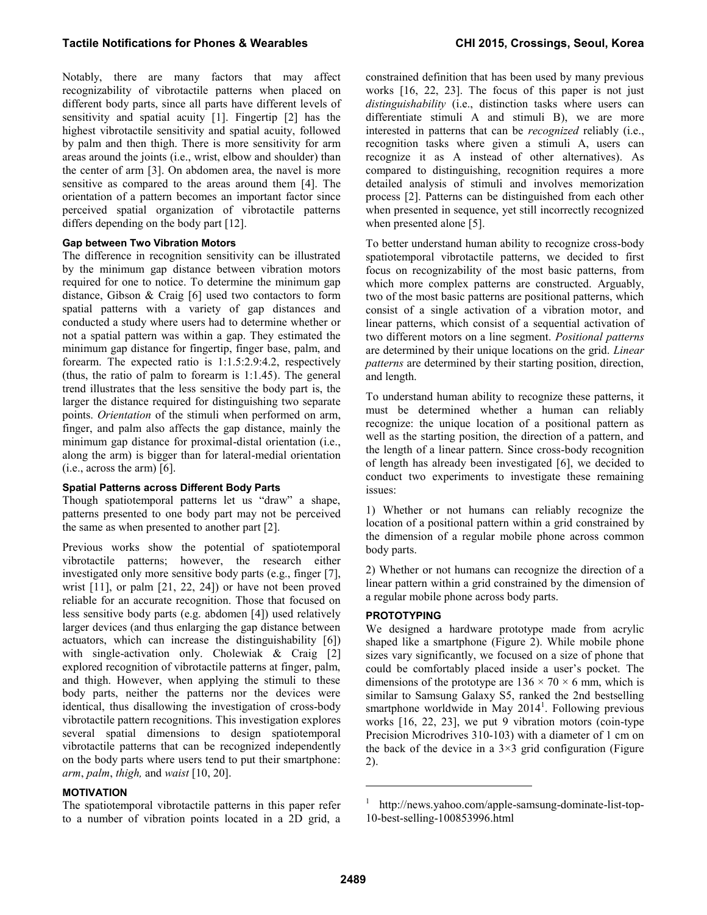Notably, there are many factors that may affect recognizability of vibrotactile patterns when placed on different body parts, since all parts have different levels of sensitivity and spatial acuity [\[1\]](#page-9-10). Fingertip [\[2\]](#page-9-5) has the highest vibrotactile sensitivity and spatial acuity, followed by palm and then thigh. There is more sensitivity for arm areas around the joints (i.e., wrist, elbow and shoulder) than the center of arm [\[3\]](#page-9-11). On abdomen area, the navel is more sensitive as compared to the areas around them [\[4\]](#page-9-19). The orientation of a pattern becomes an important factor since perceived spatial organization of vibrotactile patterns differs depending on the body part [\[12\]](#page-9-6).

# **Gap between Two Vibration Motors**

The difference in recognition sensitivity can be illustrated by the minimum gap distance between vibration motors required for one to notice. To determine the minimum gap distance, Gibson & Craig [\[6\]](#page-9-20) used two contactors to form spatial patterns with a variety of gap distances and conducted a study where users had to determine whether or not a spatial pattern was within a gap. They estimated the minimum gap distance for fingertip, finger base, palm, and forearm. The expected ratio is 1:1.5:2.9:4.2, respectively (thus, the ratio of palm to forearm is 1:1.45). The general trend illustrates that the less sensitive the body part is, the larger the distance required for distinguishing two separate points. *Orientation* of the stimuli when performed on arm, finger, and palm also affects the gap distance, mainly the minimum gap distance for proximal-distal orientation (i.e., along the arm) is bigger than for lateral-medial orientation (i.e., across the arm) [\[6\]](#page-9-20).

#### **Spatial Patterns across Different Body Parts**

Though spatiotemporal patterns let us "draw" a shape, patterns presented to one body part may not be perceived the same as when presented to another part [\[2\]](#page-9-5).

Previous works show the potential of spatiotemporal vibrotactile patterns; however, the research either investigated only more sensitive body parts (e.g., finger [\[7\]](#page-9-3), wrist [\[11\]](#page-9-12), or palm [\[21,](#page-9-9) [22,](#page-9-1) [24\]](#page-9-8)) or have not been proved reliable for an accurate recognition. Those that focused on less sensitive body parts (e.g. abdomen [\[4\]](#page-9-19)) used relatively larger devices (and thus enlarging the gap distance between actuators, which can increase the distinguishability [\[6\]](#page-9-20)) with single-activation only. Cholewiak & Craig [\[2\]](#page-9-5) explored recognition of vibrotactile patterns at finger, palm, and thigh. However, when applying the stimuli to these body parts, neither the patterns nor the devices were identical, thus disallowing the investigation of cross-body vibrotactile pattern recognitions. This investigation explores several spatial dimensions to design spatiotemporal vibrotactile patterns that can be recognized independently on the body parts where users tend to put their smartphone: *arm*, *palm*, *thigh,* and *waist* [\[10,](#page-9-4) [20\]](#page-9-7).

# **MOTIVATION**

The spatiotemporal vibrotactile patterns in this paper refer to a number of vibration points located in a 2D grid, a constrained definition that has been used by many previous works [\[16,](#page-9-0) [22,](#page-9-1) [23\]](#page-9-2). The focus of this paper is not just *distinguishability* (i.e., distinction tasks where users can differentiate stimuli A and stimuli B), we are more interested in patterns that can be *recognized* reliably (i.e., recognition tasks where given a stimuli A, users can recognize it as A instead of other alternatives). As compared to distinguishing, recognition requires a more detailed analysis of stimuli and involves memorization process [\[2\]](#page-9-5). Patterns can be distinguished from each other when presented in sequence, yet still incorrectly recognized when presented alone [\[5\]](#page-9-15).

To better understand human ability to recognize cross-body spatiotemporal vibrotactile patterns, we decided to first focus on recognizability of the most basic patterns, from which more complex patterns are constructed. Arguably, two of the most basic patterns are positional patterns, which consist of a single activation of a vibration motor, and linear patterns, which consist of a sequential activation of two different motors on a line segment. *Positional patterns* are determined by their unique locations on the grid. *Linear patterns* are determined by their starting position, direction, and length.

To understand human ability to recognize these patterns, it must be determined whether a human can reliably recognize: the unique location of a positional pattern as well as the starting position, the direction of a pattern, and the length of a linear pattern. Since cross-body recognition of length has already been investigated [\[6\]](#page-9-20), we decided to conduct two experiments to investigate these remaining issues:

1) Whether or not humans can reliably recognize the location of a positional pattern within a grid constrained by the dimension of a regular mobile phone across common body parts.

2) Whether or not humans can recognize the direction of a linear pattern within a grid constrained by the dimension of a regular mobile phone across body parts.

# **PROTOTYPING**

We designed a hardware prototype made from acrylic shaped like a smartphone [\(Figure 2\)](#page-3-0). While mobile phone sizes vary significantly, we focused on a size of phone that could be comfortably placed inside a user's pocket. The dimensions of the prototype are  $136 \times 70 \times 6$  mm, which is similar to Samsung Galaxy S5, ranked the 2nd bestselling smartphone worldwide in May 2014<sup>1</sup>. Following previous works [\[16,](#page-9-0) [22,](#page-9-1) [23\]](#page-9-2), we put 9 vibration motors (coin-type Precision Microdrives 310-103) with a diameter of 1 cm on the back of the device in a  $3\times3$  grid configuration (Figure [2\)](#page-3-0).

1

<sup>1</sup> http://news.yahoo.com/apple-samsung-dominate-list-top-10-best-selling-100853996.html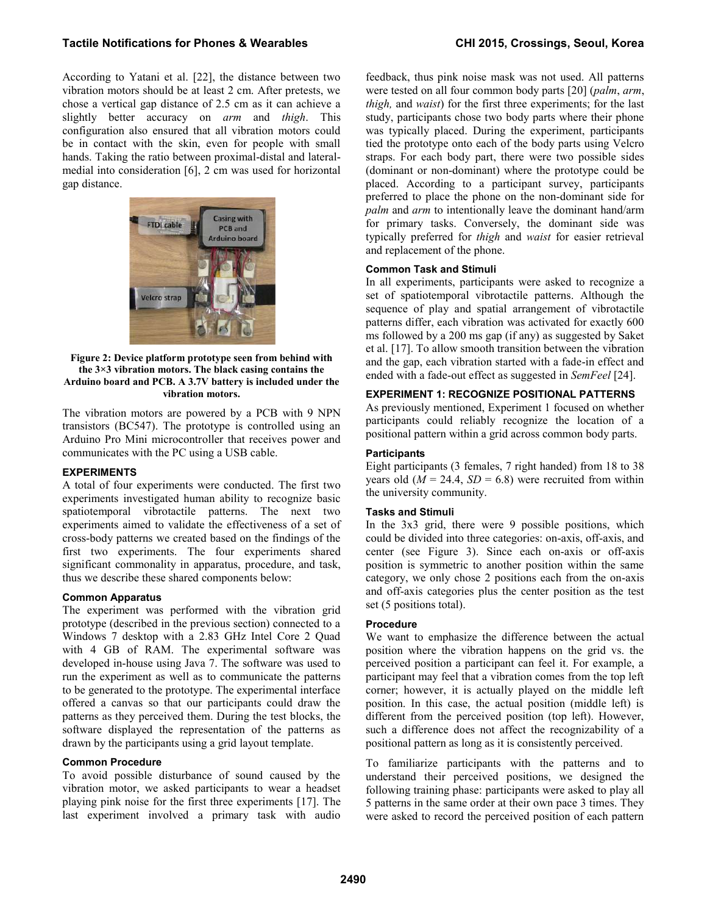According to Yatani et al. [\[22\]](#page-9-1), the distance between two vibration motors should be at least 2 cm. After pretests, we chose a vertical gap distance of 2.5 cm as it can achieve a slightly better accuracy on *arm* and *thigh*. This configuration also ensured that all vibration motors could be in contact with the skin, even for people with small hands. Taking the ratio between proximal-distal and lateralmedial into consideration [\[6\]](#page-9-20), 2 cm was used for horizontal gap distance.



#### <span id="page-3-0"></span>**Figure 2: Device platform prototype seen from behind with the 3×3 vibration motors. The black casing contains the Arduino board and PCB. A 3.7V battery is included under the vibration motors.**

The vibration motors are powered by a PCB with 9 NPN transistors (BC547). The prototype is controlled using an Arduino Pro Mini microcontroller that receives power and communicates with the PC using a USB cable.

# **EXPERIMENTS**

A total of four experiments were conducted. The first two experiments investigated human ability to recognize basic spatiotemporal vibrotactile patterns. The next two experiments aimed to validate the effectiveness of a set of cross-body patterns we created based on the findings of the first two experiments. The four experiments shared significant commonality in apparatus, procedure, and task, thus we describe these shared components below:

# **Common Apparatus**

The experiment was performed with the vibration grid prototype (described in the previous section) connected to a Windows 7 desktop with a 2.83 GHz Intel Core 2 Quad with 4 GB of RAM. The experimental software was developed in-house using Java 7. The software was used to run the experiment as well as to communicate the patterns to be generated to the prototype. The experimental interface offered a canvas so that our participants could draw the patterns as they perceived them. During the test blocks, the software displayed the representation of the patterns as drawn by the participants using a grid layout template.

# **Common Procedure**

To avoid possible disturbance of sound caused by the vibration motor, we asked participants to wear a headset playing pink noise for the first three experiments [\[17\]](#page-9-13). The last experiment involved a primary task with audio feedback, thus pink noise mask was not used. All patterns were tested on all four common body parts [\[20\]](#page-9-7) (*palm*, *arm*, *thigh,* and *waist*) for the first three experiments; for the last study, participants chose two body parts where their phone was typically placed. During the experiment, participants tied the prototype onto each of the body parts using Velcro straps. For each body part, there were two possible sides (dominant or non-dominant) where the prototype could be placed. According to a participant survey, participants preferred to place the phone on the non-dominant side for *palm* and *arm* to intentionally leave the dominant hand/arm for primary tasks. Conversely, the dominant side was typically preferred for *thigh* and *waist* for easier retrieval and replacement of the phone.

# **Common Task and Stimuli**

In all experiments, participants were asked to recognize a set of spatiotemporal vibrotactile patterns. Although the sequence of play and spatial arrangement of vibrotactile patterns differ, each vibration was activated for exactly 600 ms followed by a 200 ms gap (if any) as suggested by Saket et al. [\[17\]](#page-9-13). To allow smooth transition between the vibration and the gap, each vibration started with a fade-in effect and ended with a fade-out effect as suggested in *SemFeel* [\[24\]](#page-9-8).

# **EXPERIMENT 1: RECOGNIZE POSITIONAL PATTERNS**

As previously mentioned, Experiment 1 focused on whether participants could reliably recognize the location of a positional pattern within a grid across common body parts.

# **Participants**

Eight participants (3 females, 7 right handed) from 18 to 38 years old  $(M = 24.4, SD = 6.8)$  were recruited from within the university community.

# **Tasks and Stimuli**

In the 3x3 grid, there were 9 possible positions, which could be divided into three categories: on-axis, off-axis, and center (see [Figure 3\)](#page-4-0). Since each on-axis or off-axis position is symmetric to another position within the same category, we only chose 2 positions each from the on-axis and off-axis categories plus the center position as the test set (5 positions total).

# **Procedure**

We want to emphasize the difference between the actual position where the vibration happens on the grid vs. the perceived position a participant can feel it. For example, a participant may feel that a vibration comes from the top left corner; however, it is actually played on the middle left position. In this case, the actual position (middle left) is different from the perceived position (top left). However, such a difference does not affect the recognizability of a positional pattern as long as it is consistently perceived.

To familiarize participants with the patterns and to understand their perceived positions, we designed the following training phase: participants were asked to play all 5 patterns in the same order at their own pace 3 times. They were asked to record the perceived position of each pattern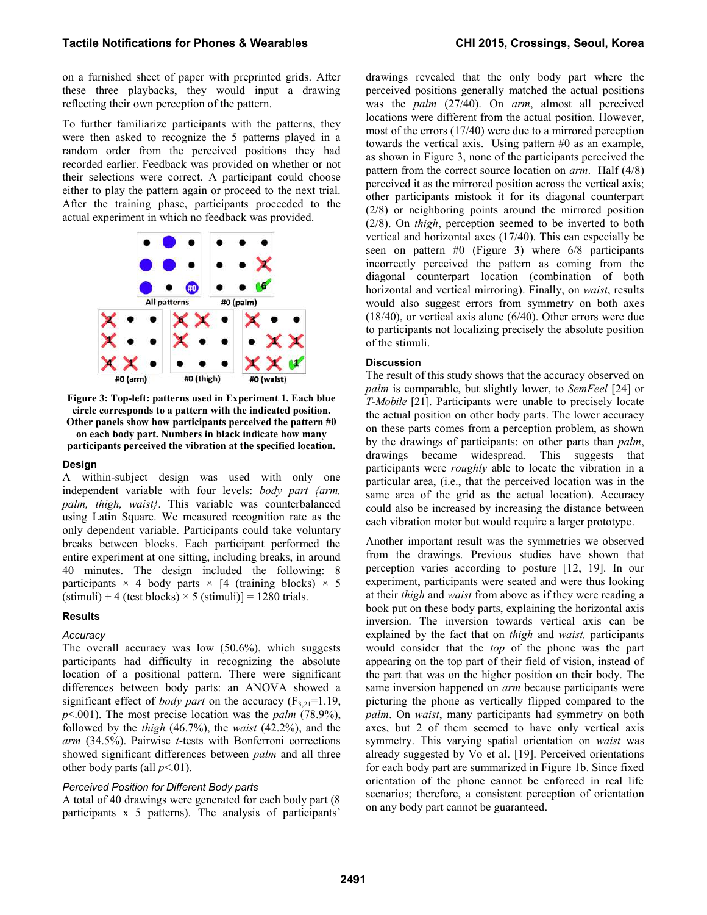on a furnished sheet of paper with preprinted grids. After these three playbacks, they would input a drawing reflecting their own perception of the pattern.

To further familiarize participants with the patterns, they were then asked to recognize the 5 patterns played in a random order from the perceived positions they had recorded earlier. Feedback was provided on whether or not their selections were correct. A participant could choose either to play the pattern again or proceed to the next trial. After the training phase, participants proceeded to the actual experiment in which no feedback was provided.



<span id="page-4-0"></span>**Figure 3: Top-left: patterns used in Experiment 1. Each blue circle corresponds to a pattern with the indicated position. Other panels show how participants perceived the pattern #0 on each body part. Numbers in black indicate how many** 

**participants perceived the vibration at the specified location.** 

#### **Design**

A within-subject design was used with only one independent variable with four levels: *body part {arm, palm, thigh, waist}*. This variable was counterbalanced using Latin Square. We measured recognition rate as the only dependent variable. Participants could take voluntary breaks between blocks. Each participant performed the entire experiment at one sitting, including breaks, in around 40 minutes. The design included the following: 8 participants  $\times$  4 body parts  $\times$  [4 (training blocks)  $\times$  5  $(\text{stimuli}) + 4$  (test blocks)  $\times$  5 (stimuli)] = 1280 trials.

#### **Results**

# *Accuracy*

The overall accuracy was low (50.6%), which suggests participants had difficulty in recognizing the absolute location of a positional pattern. There were significant differences between body parts: an ANOVA showed a significant effect of *body part* on the accuracy  $(F_{3,21}=1.19)$ , *p*<.001). The most precise location was the *palm* (78.9%), followed by the *thigh* (46.7%), the *waist* (42.2%), and the *arm* (34.5%). Pairwise *t*-tests with Bonferroni corrections showed significant differences between *palm* and all three other body parts (all  $p<01$ ).

#### *Perceived Position for Different Body parts*

A total of 40 drawings were generated for each body part (8 participants x 5 patterns). The analysis of participants'

drawings revealed that the only body part where the perceived positions generally matched the actual positions was the *palm* (27/40). On *arm*, almost all perceived locations were different from the actual position. However, most of the errors (17/40) were due to a mirrored perception towards the vertical axis. Using pattern #0 as an example, as shown in Figure 3, none of the participants perceived the pattern from the correct source location on *arm*. Half (4/8) perceived it as the mirrored position across the vertical axis; other participants mistook it for its diagonal counterpart (2/8) or neighboring points around the mirrored position (2/8). On *thigh*, perception seemed to be inverted to both vertical and horizontal axes (17/40). This can especially be seen on pattern #0 (Figure 3) where 6/8 participants incorrectly perceived the pattern as coming from the diagonal counterpart location (combination of both horizontal and vertical mirroring). Finally, on *waist*, results would also suggest errors from symmetry on both axes (18/40), or vertical axis alone (6/40). Other errors were due to participants not localizing precisely the absolute position of the stimuli.

#### **Discussion**

The result of this study shows that the accuracy observed on *palm* is comparable, but slightly lower, to *SemFeel* [\[24\]](#page-9-8) or *T-Mobile* [\[21\]](#page-9-9). Participants were unable to precisely locate the actual position on other body parts. The lower accuracy on these parts comes from a perception problem, as shown by the drawings of participants: on other parts than *palm*, drawings became widespread. This suggests that participants were *roughly* able to locate the vibration in a particular area, (i.e., that the perceived location was in the same area of the grid as the actual location). Accuracy could also be increased by increasing the distance between each vibration motor but would require a larger prototype.

Another important result was the symmetries we observed from the drawings. Previous studies have shown that perception varies according to posture [\[12,](#page-9-6) [19\]](#page-9-21). In our experiment, participants were seated and were thus looking at their *thigh* and *waist* from above as if they were reading a book put on these body parts, explaining the horizontal axis inversion. The inversion towards vertical axis can be explained by the fact that on *thigh* and *waist,* participants would consider that the *top* of the phone was the part appearing on the top part of their field of vision, instead of the part that was on the higher position on their body. The same inversion happened on *arm* because participants were picturing the phone as vertically flipped compared to the *palm*. On *waist*, many participants had symmetry on both axes, but 2 of them seemed to have only vertical axis symmetry. This varying spatial orientation on *waist* was already suggested by Vo et al. [\[19\]](#page-9-21). Perceived orientations for each body part are summarized in [Figure 1b](#page-0-0). Since fixed orientation of the phone cannot be enforced in real life scenarios; therefore, a consistent perception of orientation on any body part cannot be guaranteed.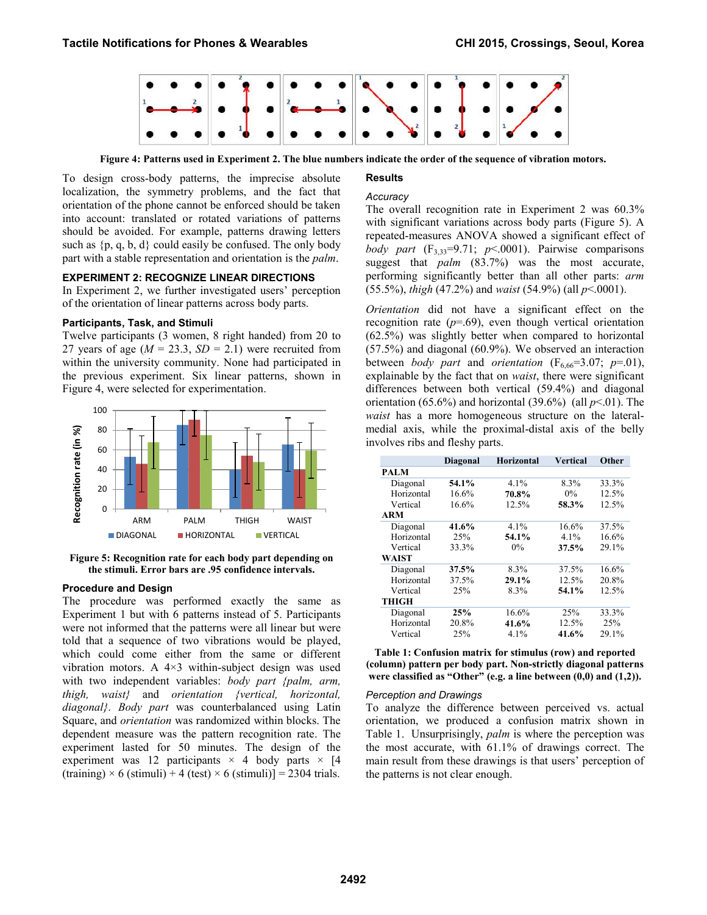

**Figure 4: Patterns used in Experiment 2. The blue numbers indicate the order of the sequence of vibration motors.** 

#### **Results**

<span id="page-5-0"></span>To design cross-body patterns, the imprecise absolute localization, the symmetry problems, and the fact that orientation of the phone cannot be enforced should be taken into account: translated or rotated variations of patterns should be avoided. For example, patterns drawing letters such as  $\{p, q, b, d\}$  could easily be confused. The only body part with a stable representation and orientation is the *palm*.

#### **EXPERIMENT 2: RECOGNIZE LINEAR DIRECTIONS**

In Experiment 2, we further investigated users' perception of the orientation of linear patterns across body parts.

#### **Participants, Task, and Stimuli**

Twelve participants (3 women, 8 right handed) from 20 to 27 years of age  $(M = 23.3, SD = 2.1)$  were recruited from within the university community. None had participated in the previous experiment. Six linear patterns, shown in [Figure 4,](#page-5-0) were selected for experimentation.



<span id="page-5-1"></span>**Figure 5: Recognition rate for each body part depending on the stimuli. Error bars are .95 confidence intervals.** 

#### **Procedure and Design**

The procedure was performed exactly the same as Experiment 1 but with 6 patterns instead of 5. Participants were not informed that the patterns were all linear but were told that a sequence of two vibrations would be played, which could come either from the same or different vibration motors. A 4×3 within-subject design was used with two independent variables: *body part {palm, arm, thigh, waist}* and *orientation {vertical, horizontal, diagonal}*. *Body part* was counterbalanced using Latin Square, and *orientation* was randomized within blocks. The dependent measure was the pattern recognition rate. The experiment lasted for 50 minutes. The design of the experiment was 12 participants  $\times$  4 body parts  $\times$  [4  $(\text{training}) \times 6 (\text{stimuli}) + 4 (\text{test}) \times 6 (\text{stimuli}) = 2304 \text{ trials}.$ 

# *Accuracy*

The overall recognition rate in Experiment 2 was 60.3% with significant variations across body parts [\(Figure 5\)](#page-5-1). A repeated-measures ANOVA showed a significant effect of *body part*  $(F_{3,33}=9.71; p<.0001)$ . Pairwise comparisons suggest that *palm* (83.7%) was the most accurate, performing significantly better than all other parts: *arm* (55.5%), *thigh* (47.2%) and *waist* (54.9%) (all *p*<.0001).

*Orientation* did not have a significant effect on the recognition rate  $(p=0.69)$ , even though vertical orientation (62.5%) was slightly better when compared to horizontal (57.5%) and diagonal (60.9%). We observed an interaction between *body part* and *orientation* ( $F_{6,66}=3.07$ ;  $p=.01$ ), explainable by the fact that on *waist*, there were significant differences between both vertical (59.4%) and diagonal orientation (65.6%) and horizontal  $(39.6\%)$  (all  $p<.01$ ). The *waist* has a more homogeneous structure on the lateralmedial axis, while the proximal-distal axis of the belly involves ribs and fleshy parts.

| <b>Diagonal</b> |       | <b>Horizontal</b> | <b>Vertical</b> | Other |  |
|-----------------|-------|-------------------|-----------------|-------|--|
| <b>PALM</b>     |       |                   |                 |       |  |
| Diagonal        | 54.1% | $4.1\%$           | 8.3%            | 33.3% |  |
| Horizontal      | 16.6% | 70.8%             | $0\%$           | 12.5% |  |
| Vertical        | 16.6% | 12.5%             | 58.3%           | 12.5% |  |
| <b>ARM</b>      |       |                   |                 |       |  |
| Diagonal        | 41.6% | 4.1%              | 16.6%           | 37.5% |  |
| Horizontal      | 25%   | 54.1%             | $4.1\%$         | 16.6% |  |
| Vertical        | 33.3% | $0\%$             | 37.5%           | 29.1% |  |
| <b>WAIST</b>    |       |                   |                 |       |  |
| Diagonal        | 37.5% | 8.3%              | 37.5%           | 16.6% |  |
| Horizontal      | 37.5% | 29.1%             | 12.5%           | 20.8% |  |
| Vertical        | 25%   | 8.3%              | 54.1%           | 12.5% |  |
| <b>THIGH</b>    |       |                   |                 |       |  |
| Diagonal        | 25%   | 16.6%             | 25%             | 33.3% |  |
| Horizontal      | 20.8% | 41.6%             | 12.5%           | 25%   |  |
| Vertical        | 25%   | 4.1%              | 41.6%           | 29.1% |  |

<span id="page-5-2"></span>**Table 1: Confusion matrix for stimulus (row) and reported (column) pattern per body part. Non-strictly diagonal patterns were classified as "Other" (e.g. a line between (0,0) and (1,2)).** 

#### *Perception and Drawings*

To analyze the difference between perceived vs. actual orientation, we produced a confusion matrix shown in [Table 1.](#page-5-2) Unsurprisingly, *palm* is where the perception was the most accurate, with 61.1% of drawings correct. The main result from these drawings is that users' perception of the patterns is not clear enough.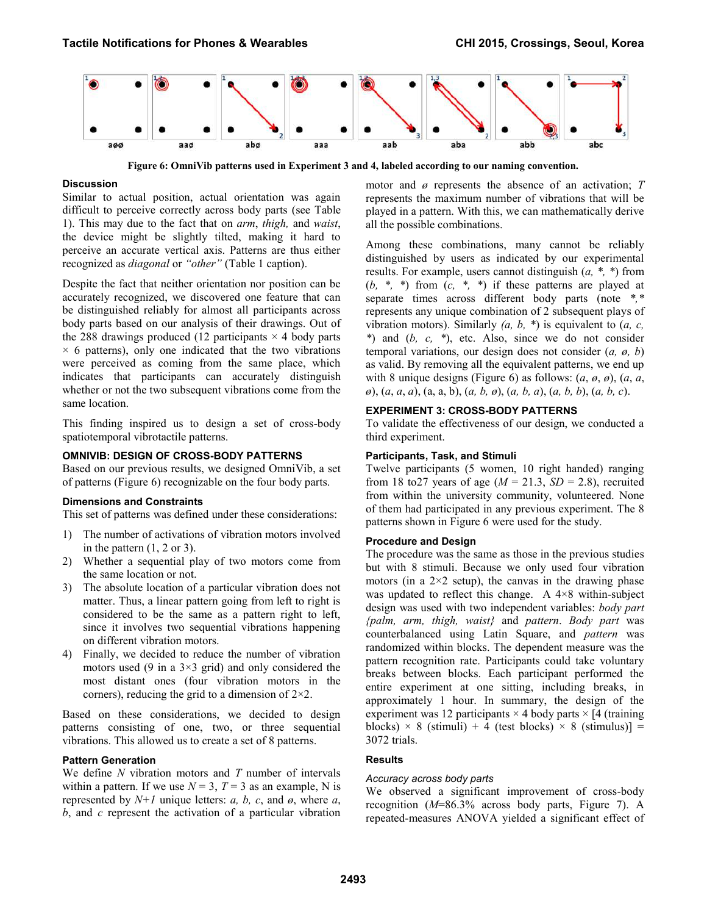

**Figure 6: OmniVib patterns used in Experiment 3 and 4, labeled according to our naming convention.** 

# <span id="page-6-0"></span>**Discussion**

Similar to actual position, actual orientation was again difficult to perceive correctly across body parts (see [Table](#page-5-2)  [1\)](#page-5-2). This may due to the fact that on *arm*, *thigh,* and *waist*, the device might be slightly tilted, making it hard to perceive an accurate vertical axis. Patterns are thus either recognized as *diagonal* or *"other"* [\(Table 1](#page-5-2) caption).

Despite the fact that neither orientation nor position can be accurately recognized, we discovered one feature that can be distinguished reliably for almost all participants across body parts based on our analysis of their drawings. Out of the 288 drawings produced (12 participants  $\times$  4 body parts  $\times$  6 patterns), only one indicated that the two vibrations were perceived as coming from the same place, which indicates that participants can accurately distinguish whether or not the two subsequent vibrations come from the same location.

This finding inspired us to design a set of cross-body spatiotemporal vibrotactile patterns.

#### **OMNIVIB: DESIGN OF CROSS-BODY PATTERNS**

Based on our previous results, we designed OmniVib, a set of patterns [\(Figure 6\)](#page-6-0) recognizable on the four body parts.

#### **Dimensions and Constraints**

This set of patterns was defined under these considerations:

- 1) The number of activations of vibration motors involved in the pattern  $(1, 2 \text{ or } 3)$ .
- 2) Whether a sequential play of two motors come from the same location or not.
- 3) The absolute location of a particular vibration does not matter. Thus, a linear pattern going from left to right is considered to be the same as a pattern right to left, since it involves two sequential vibrations happening on different vibration motors.
- 4) Finally, we decided to reduce the number of vibration motors used (9 in a  $3\times3$  grid) and only considered the most distant ones (four vibration motors in the corners), reducing the grid to a dimension of  $2\times 2$ .

Based on these considerations, we decided to design patterns consisting of one, two, or three sequential vibrations. This allowed us to create a set of 8 patterns.

#### **Pattern Generation**

We define *N* vibration motors and *T* number of intervals within a pattern. If we use  $N = 3$ ,  $T = 3$  as an example, N is represented by  $N+1$  unique letters: *a*, *b*, *c*, and *ø*, where *a*, *b*, and *c* represent the activation of a particular vibration motor and *ø* represents the absence of an activation; *T* represents the maximum number of vibrations that will be played in a pattern. With this, we can mathematically derive all the possible combinations.

Among these combinations, many cannot be reliably distinguished by users as indicated by our experimental results. For example, users cannot distinguish (*a, \*, \**) from (*b, \*, \**) from (*c, \*, \**) if these patterns are played at separate times across different body parts (note *\*,\** represents any unique combination of 2 subsequent plays of vibration motors). Similarly *(a, b, \**) is equivalent to (*a, c, \**) and (*b, c, \**), etc. Also, since we do not consider temporal variations, our design does not consider (*a, ø, b*) as valid. By removing all the equivalent patterns, we end up with 8 unique designs [\(Figure 6\)](#page-6-0) as follows: (*a*, *ø*, *ø*), (*a*, *a*, *ø*), (*a*, *a*, *a*), (a, a, b), (*a, b, ø*), (*a, b, a*), (*a, b, b*), (*a, b, c*).

# **EXPERIMENT 3: CROSS-BODY PATTERNS**

To validate the effectiveness of our design, we conducted a third experiment.

# **Participants, Task, and Stimuli**

Twelve participants (5 women, 10 right handed) ranging from 18 to 27 years of age ( $M = 21.3$ ,  $SD = 2.8$ ), recruited from within the university community, volunteered. None of them had participated in any previous experiment. The 8 patterns shown in [Figure 6](#page-6-0) were used for the study.

# **Procedure and Design**

The procedure was the same as those in the previous studies but with 8 stimuli. Because we only used four vibration motors (in a  $2\times 2$  setup), the canvas in the drawing phase was updated to reflect this change. A  $4\times8$  within-subject design was used with two independent variables: *body part {palm, arm, thigh, waist}* and *pattern*. *Body part* was counterbalanced using Latin Square, and *pattern* was randomized within blocks. The dependent measure was the pattern recognition rate. Participants could take voluntary breaks between blocks. Each participant performed the entire experiment at one sitting, including breaks, in approximately 1 hour. In summary, the design of the experiment was 12 participants  $\times$  4 body parts  $\times$  [4 (training blocks)  $\times$  8 (stimuli) + 4 (test blocks)  $\times$  8 (stimulus)] = 3072 trials.

#### **Results**

#### *Accuracy across body parts*

We observed a significant improvement of cross-body recognition (*M*=86.3% across body parts, [Figure 7\)](#page-7-0). A repeated-measures ANOVA yielded a significant effect of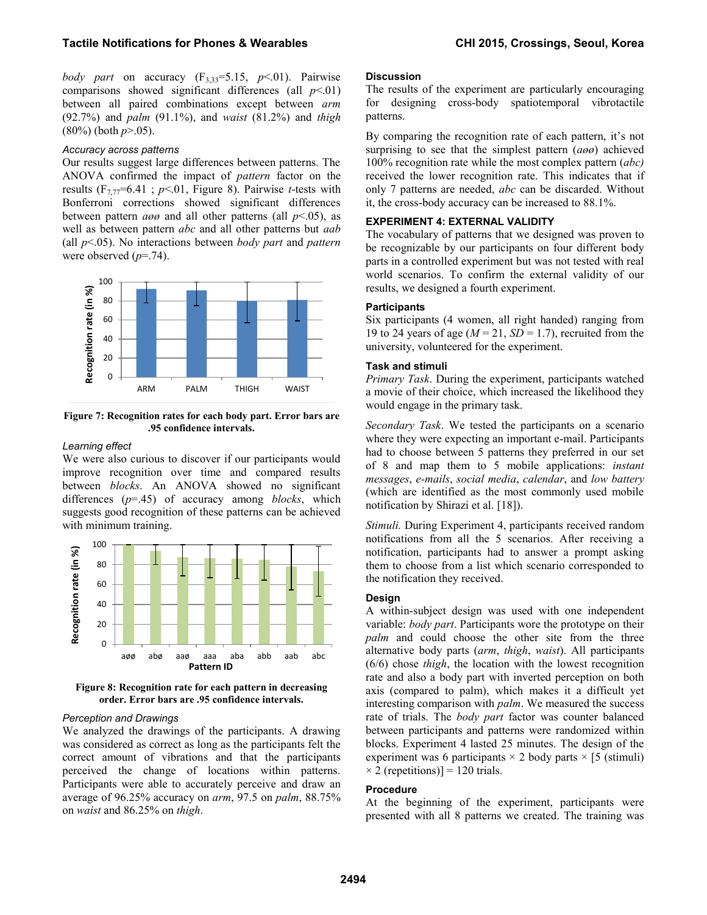*body part* on accuracy  $(F_{3,33}=5.15, p<.01)$ . Pairwise comparisons showed significant differences (all  $p<0$ ) between all paired combinations except between *arm*  (92.7%) and *palm* (91.1%), and *waist* (81.2%) and *thigh*  (80%) (both *p*>.05).

#### *Accuracy across patterns*

Our results suggest large differences between patterns. The ANOVA confirmed the impact of *pattern* factor on the results ( $F_{7,77}$ =6.41; *p*<.01, Figure 8). Pairwise *t*-tests with Bonferroni corrections showed significant differences between pattern *aøø* and all other patterns (all *p*<.05), as well as between pattern *abc* and all other patterns but *aab* (all *p*<.05). No interactions between *body part* and *pattern* were observed ( $p$ =.74).



<span id="page-7-0"></span>**Figure 7: Recognition rates for each body part. Error bars are .95 confidence intervals.** 

#### *Learning effect*

We were also curious to discover if our participants would improve recognition over time and compared results between *blocks*. An ANOVA showed no significant differences (*p*=.45) of accuracy among *blocks*, which suggests good recognition of these patterns can be achieved with minimum training.



**Figure 8: Recognition rate for each pattern in decreasing order. Error bars are .95 confidence intervals.** 

#### *Perception and Drawings*

We analyzed the drawings of the participants. A drawing was considered as correct as long as the participants felt the correct amount of vibrations and that the participants perceived the change of locations within patterns. Participants were able to accurately perceive and draw an average of 96.25% accuracy on *arm*, 97.5 on *palm*, 88.75% on *waist* and 86.25% on *thigh*.

#### **Discussion**

The results of the experiment are particularly encouraging for designing cross-body spatiotemporal vibrotactile patterns.

By comparing the recognition rate of each pattern, it's not surprising to see that the simplest pattern (*aøø*) achieved 100% recognition rate while the most complex pattern (*abc)* received the lower recognition rate. This indicates that if only 7 patterns are needed, *abc* can be discarded. Without it, the cross-body accuracy can be increased to 88.1%.

# **EXPERIMENT 4: EXTERNAL VALIDITY**

The vocabulary of patterns that we designed was proven to be recognizable by our participants on four different body parts in a controlled experiment but was not tested with real world scenarios. To confirm the external validity of our results, we designed a fourth experiment.

#### **Participants**

Six participants (4 women, all right handed) ranging from 19 to 24 years of age (*M* = 21, *SD* = 1.7), recruited from the university, volunteered for the experiment.

#### **Task and stimuli**

*Primary Task*. During the experiment, participants watched a movie of their choice, which increased the likelihood they would engage in the primary task.

*Secondary Task*. We tested the participants on a scenario where they were expecting an important e-mail. Participants had to choose between 5 patterns they preferred in our set of 8 and map them to 5 mobile applications: *instant messages*, *e-mails*, *social media*, *calendar*, and *low battery* (which are identified as the most commonly used mobile notification by Shirazi et al. [\[18\]](#page-9-22)).

*Stimuli.* During Experiment 4, participants received random notifications from all the 5 scenarios. After receiving a notification, participants had to answer a prompt asking them to choose from a list which scenario corresponded to the notification they received.

# **Design**

A within-subject design was used with one independent variable: *body part*. Participants wore the prototype on their *palm* and could choose the other site from the three alternative body parts (*arm*, *thigh*, *waist*). All participants (6/6) chose *thigh*, the location with the lowest recognition rate and also a body part with inverted perception on both axis (compared to palm), which makes it a difficult yet interesting comparison with *palm*. We measured the success rate of trials. The *body part* factor was counter balanced between participants and patterns were randomized within blocks. Experiment 4 lasted 25 minutes. The design of the experiment was 6 participants  $\times$  2 body parts  $\times$  [5 (stimuli)  $\times$  2 (repetitions)] = 120 trials.

#### **Procedure**

At the beginning of the experiment, participants were presented with all 8 patterns we created. The training was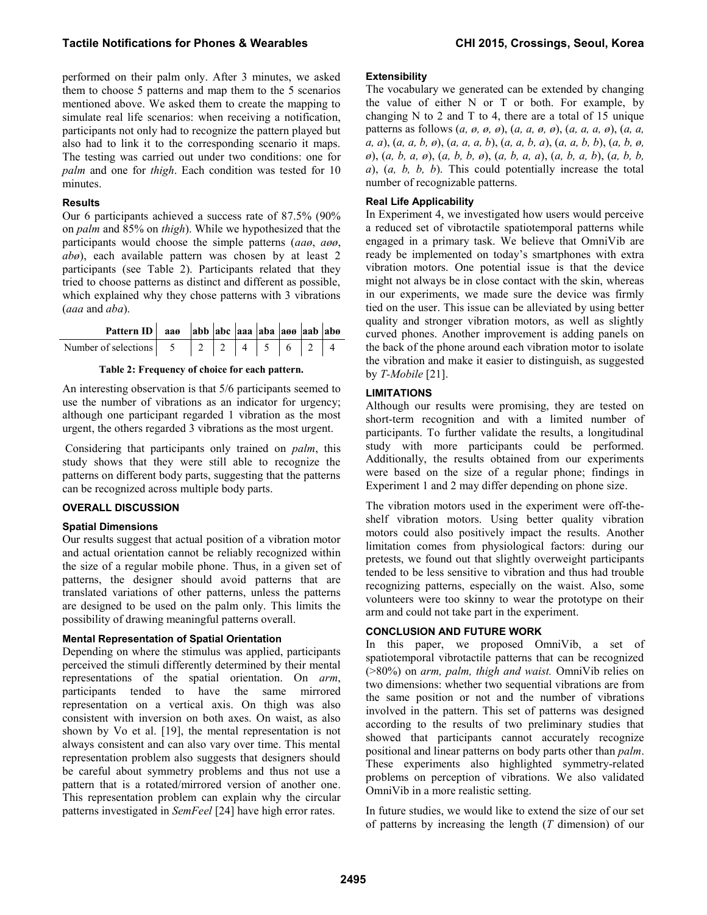performed on their palm only. After 3 minutes, we asked them to choose 5 patterns and map them to the 5 scenarios mentioned above. We asked them to create the mapping to simulate real life scenarios: when receiving a notification, participants not only had to recognize the pattern played but also had to link it to the corresponding scenario it maps. The testing was carried out under two conditions: one for *palm* and one for *thigh*. Each condition was tested for 10 minutes.

# **Results**

Our 6 participants achieved a success rate of 87.5% (90% on *palm* and 85% on *thigh*). While we hypothesized that the participants would choose the simple patterns (*aaø*, *aøø*, *abø*), each available pattern was chosen by at least 2 participants (see [Table 2\)](#page-8-0). Participants related that they tried to choose patterns as distinct and different as possible, which explained why they chose patterns with 3 vibrations (*aaa* and *aba*).

| Pattern ID   aa $\theta$   abb   abc   aaa   aba   a $\theta$   aab   ab $\theta$ |  |  |  |  |
|-----------------------------------------------------------------------------------|--|--|--|--|
|                                                                                   |  |  |  |  |

# **Table 2: Frequency of choice for each pattern.**

<span id="page-8-0"></span>An interesting observation is that 5/6 participants seemed to use the number of vibrations as an indicator for urgency; although one participant regarded 1 vibration as the most urgent, the others regarded 3 vibrations as the most urgent.

 Considering that participants only trained on *palm*, this study shows that they were still able to recognize the patterns on different body parts, suggesting that the patterns can be recognized across multiple body parts.

# **OVERALL DISCUSSION**

# **Spatial Dimensions**

Our results suggest that actual position of a vibration motor and actual orientation cannot be reliably recognized within the size of a regular mobile phone. Thus, in a given set of patterns, the designer should avoid patterns that are translated variations of other patterns, unless the patterns are designed to be used on the palm only. This limits the possibility of drawing meaningful patterns overall.

# **Mental Representation of Spatial Orientation**

Depending on where the stimulus was applied, participants perceived the stimuli differently determined by their mental representations of the spatial orientation. On *arm*, participants tended to have the same mirrored representation on a vertical axis. On thigh was also consistent with inversion on both axes. On waist, as also shown by Vo et al. [\[19\]](#page-9-21), the mental representation is not always consistent and can also vary over time. This mental representation problem also suggests that designers should be careful about symmetry problems and thus not use a pattern that is a rotated/mirrored version of another one. This representation problem can explain why the circular patterns investigated in *SemFeel* [\[24\]](#page-9-8) have high error rates.

#### **Extensibility**

The vocabulary we generated can be extended by changing the value of either N or T or both. For example, by changing N to 2 and T to 4, there are a total of 15 unique patterns as follows (*a, ø, ø, ø*), (*a, a, ø, ø*), (*a, a, a, ø*), (*a, a, a, a*), (*a, a, b, ø*), (*a, a, a, b*), (*a, a, b, a*), (*a, a, b, b*), (*a, b, ø, ø*), (*a, b, a, ø*), (*a, b, b, ø*), (*a, b, a, a*), (*a, b, a, b*), (*a, b, b, a*), (*a, b, b, b*). This could potentially increase the total number of recognizable patterns.

#### **Real Life Applicability**

In Experiment 4, we investigated how users would perceive a reduced set of vibrotactile spatiotemporal patterns while engaged in a primary task. We believe that OmniVib are ready be implemented on today's smartphones with extra vibration motors. One potential issue is that the device might not always be in close contact with the skin, whereas in our experiments, we made sure the device was firmly tied on the user. This issue can be alleviated by using better quality and stronger vibration motors, as well as slightly curved phones. Another improvement is adding panels on the back of the phone around each vibration motor to isolate the vibration and make it easier to distinguish, as suggested by *T-Mobile* [21].

# **LIMITATIONS**

Although our results were promising, they are tested on short-term recognition and with a limited number of participants. To further validate the results, a longitudinal study with more participants could be performed. Additionally, the results obtained from our experiments were based on the size of a regular phone; findings in Experiment 1 and 2 may differ depending on phone size.

The vibration motors used in the experiment were off-theshelf vibration motors. Using better quality vibration motors could also positively impact the results. Another limitation comes from physiological factors: during our pretests, we found out that slightly overweight participants tended to be less sensitive to vibration and thus had trouble recognizing patterns, especially on the waist. Also, some volunteers were too skinny to wear the prototype on their arm and could not take part in the experiment.

# **CONCLUSION AND FUTURE WORK**

In this paper, we proposed OmniVib, a set of spatiotemporal vibrotactile patterns that can be recognized (>80%) on *arm, palm, thigh and waist.* OmniVib relies on two dimensions: whether two sequential vibrations are from the same position or not and the number of vibrations involved in the pattern. This set of patterns was designed according to the results of two preliminary studies that showed that participants cannot accurately recognize positional and linear patterns on body parts other than *palm*. These experiments also highlighted symmetry-related problems on perception of vibrations. We also validated OmniVib in a more realistic setting.

In future studies, we would like to extend the size of our set of patterns by increasing the length (*T* dimension) of our